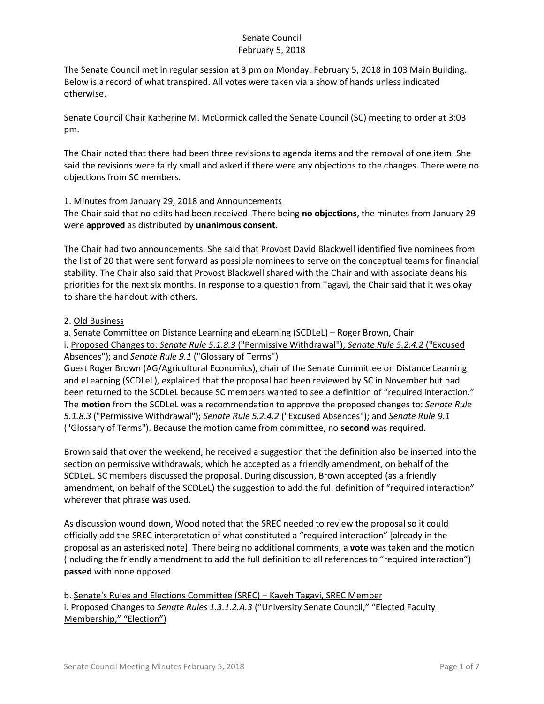The Senate Council met in regular session at 3 pm on Monday, February 5, 2018 in 103 Main Building. Below is a record of what transpired. All votes were taken via a show of hands unless indicated otherwise.

Senate Council Chair Katherine M. McCormick called the Senate Council (SC) meeting to order at 3:03 pm.

The Chair noted that there had been three revisions to agenda items and the removal of one item. She said the revisions were fairly small and asked if there were any objections to the changes. There were no objections from SC members.

## 1. Minutes from January 29, 2018 and Announcements

The Chair said that no edits had been received. There being **no objections**, the minutes from January 29 were **approved** as distributed by **unanimous consent**.

The Chair had two announcements. She said that Provost David Blackwell identified five nominees from the list of 20 that were sent forward as possible nominees to serve on the conceptual teams for financial stability. The Chair also said that Provost Blackwell shared with the Chair and with associate deans his priorities for the next six months. In response to a question from Tagavi, the Chair said that it was okay to share the handout with others.

# 2. Old Business

a. Senate Committee on Distance Learning and eLearning (SCDLeL) – Roger Brown, Chair

i. Proposed Changes to: *Senate Rule 5.1.8.3* ("Permissive Withdrawal"); *Senate Rule 5.2.4.2* ("Excused Absences"); and *Senate Rule 9.1* ("Glossary of Terms")

Guest Roger Brown (AG/Agricultural Economics), chair of the Senate Committee on Distance Learning and eLearning (SCDLeL), explained that the proposal had been reviewed by SC in November but had been returned to the SCDLeL because SC members wanted to see a definition of "required interaction." The **motion** from the SCDLeL was a recommendation to approve the proposed changes to: *Senate Rule 5.1.8.3* ("Permissive Withdrawal"); *Senate Rule 5.2.4.2* ("Excused Absences"); and *Senate Rule 9.1* ("Glossary of Terms"). Because the motion came from committee, no **second** was required.

Brown said that over the weekend, he received a suggestion that the definition also be inserted into the section on permissive withdrawals, which he accepted as a friendly amendment, on behalf of the SCDLeL. SC members discussed the proposal. During discussion, Brown accepted (as a friendly amendment, on behalf of the SCDLeL) the suggestion to add the full definition of "required interaction" wherever that phrase was used.

As discussion wound down, Wood noted that the SREC needed to review the proposal so it could officially add the SREC interpretation of what constituted a "required interaction" [already in the proposal as an asterisked note]. There being no additional comments, a **vote** was taken and the motion (including the friendly amendment to add the full definition to all references to "required interaction") **passed** with none opposed.

b. Senate's Rules and Elections Committee (SREC) – Kaveh Tagavi, SREC Member i. Proposed Changes to *Senate Rules 1.3.1.2.A.3* ("University Senate Council," "Elected Faculty Membership," "Election")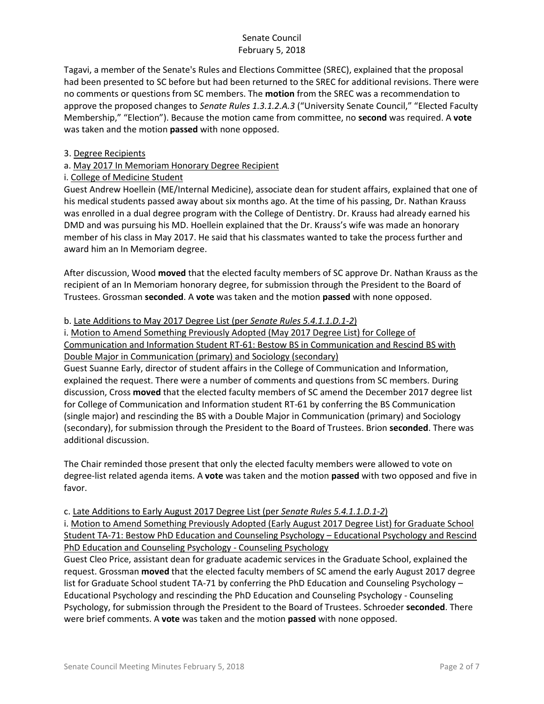Tagavi, a member of the Senate's Rules and Elections Committee (SREC), explained that the proposal had been presented to SC before but had been returned to the SREC for additional revisions. There were no comments or questions from SC members. The **motion** from the SREC was a recommendation to approve the proposed changes to *Senate Rules 1.3.1.2.A.3* ("University Senate Council," "Elected Faculty Membership," "Election"). Because the motion came from committee, no **second** was required. A **vote** was taken and the motion **passed** with none opposed.

## 3. Degree Recipients

# a. May 2017 In Memoriam Honorary Degree Recipient

## i. College of Medicine Student

Guest Andrew Hoellein (ME/Internal Medicine), associate dean for student affairs, explained that one of his medical students passed away about six months ago. At the time of his passing, Dr. Nathan Krauss was enrolled in a dual degree program with the College of Dentistry. Dr. Krauss had already earned his DMD and was pursuing his MD. Hoellein explained that the Dr. Krauss's wife was made an honorary member of his class in May 2017. He said that his classmates wanted to take the process further and award him an In Memoriam degree.

After discussion, Wood **moved** that the elected faculty members of SC approve Dr. Nathan Krauss as the recipient of an In Memoriam honorary degree, for submission through the President to the Board of Trustees. Grossman **seconded**. A **vote** was taken and the motion **passed** with none opposed.

### b. Late Additions to May 2017 Degree List (per *Senate Rules 5.4.1.1.D.1-2*)

i. Motion to Amend Something Previously Adopted (May 2017 Degree List) for College of Communication and Information Student RT-61: Bestow BS in Communication and Rescind BS with Double Major in Communication (primary) and Sociology (secondary)

Guest Suanne Early, director of student affairs in the College of Communication and Information, explained the request. There were a number of comments and questions from SC members. During discussion, Cross **moved** that the elected faculty members of SC amend the December 2017 degree list for College of Communication and Information student RT-61 by conferring the BS Communication (single major) and rescinding the BS with a Double Major in Communication (primary) and Sociology (secondary), for submission through the President to the Board of Trustees. Brion **seconded**. There was additional discussion.

The Chair reminded those present that only the elected faculty members were allowed to vote on degree-list related agenda items. A **vote** was taken and the motion **passed** with two opposed and five in favor.

### c. Late Additions to Early August 2017 Degree List (per *Senate Rules 5.4.1.1.D.1-2*)

i. Motion to Amend Something Previously Adopted (Early August 2017 Degree List) for Graduate School Student TA-71: Bestow PhD Education and Counseling Psychology – Educational Psychology and Rescind PhD Education and Counseling Psychology - Counseling Psychology

Guest Cleo Price, assistant dean for graduate academic services in the Graduate School, explained the request. Grossman **moved** that the elected faculty members of SC amend the early August 2017 degree list for Graduate School student TA-71 by conferring the PhD Education and Counseling Psychology – Educational Psychology and rescinding the PhD Education and Counseling Psychology - Counseling Psychology, for submission through the President to the Board of Trustees. Schroeder **seconded**. There were brief comments. A **vote** was taken and the motion **passed** with none opposed.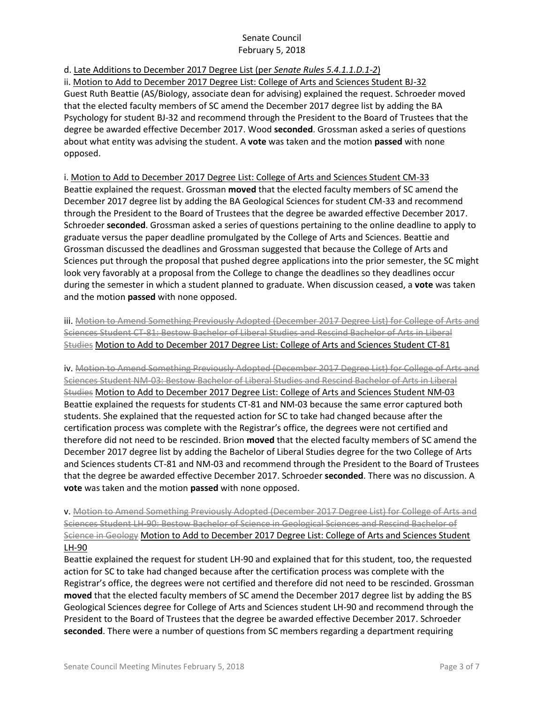d. Late Additions to December 2017 Degree List (per *Senate Rules 5.4.1.1.D.1-2*)

ii. Motion to Add to December 2017 Degree List: College of Arts and Sciences Student BJ-32 Guest Ruth Beattie (AS/Biology, associate dean for advising) explained the request. Schroeder moved that the elected faculty members of SC amend the December 2017 degree list by adding the BA Psychology for student BJ-32 and recommend through the President to the Board of Trustees that the degree be awarded effective December 2017. Wood **seconded**. Grossman asked a series of questions about what entity was advising the student. A **vote** was taken and the motion **passed** with none opposed.

i. Motion to Add to December 2017 Degree List: College of Arts and Sciences Student CM-33 Beattie explained the request. Grossman **moved** that the elected faculty members of SC amend the December 2017 degree list by adding the BA Geological Sciences for student CM-33 and recommend through the President to the Board of Trustees that the degree be awarded effective December 2017. Schroeder **seconded**. Grossman asked a series of questions pertaining to the online deadline to apply to graduate versus the paper deadline promulgated by the College of Arts and Sciences. Beattie and Grossman discussed the deadlines and Grossman suggested that because the College of Arts and Sciences put through the proposal that pushed degree applications into the prior semester, the SC might look very favorably at a proposal from the College to change the deadlines so they deadlines occur during the semester in which a student planned to graduate. When discussion ceased, a **vote** was taken and the motion **passed** with none opposed.

iii. Motion to Amend Something Previously Adopted (December 2017 Degree List) for College of Arts and Sciences Student CT-81: Bestow Bachelor of Liberal Studies and Rescind Bachelor of Arts in Liberal Studies Motion to Add to December 2017 Degree List: College of Arts and Sciences Student CT-81

iv. Motion to Amend Something Previously Adopted (December 2017 Degree List) for College of Arts and Sciences Student NM-03: Bestow Bachelor of Liberal Studies and Rescind Bachelor of Arts in Liberal Studies Motion to Add to December 2017 Degree List: College of Arts and Sciences Student NM-03 Beattie explained the requests for students CT-81 and NM-03 because the same error captured both students. She explained that the requested action for SC to take had changed because after the certification process was complete with the Registrar's office, the degrees were not certified and therefore did not need to be rescinded. Brion **moved** that the elected faculty members of SC amend the December 2017 degree list by adding the Bachelor of Liberal Studies degree for the two College of Arts and Sciences students CT-81 and NM-03 and recommend through the President to the Board of Trustees that the degree be awarded effective December 2017. Schroeder **seconded**. There was no discussion. A **vote** was taken and the motion **passed** with none opposed.

v. Motion to Amend Something Previously Adopted (December 2017 Degree List) for College of Arts and Sciences Student LH-90: Bestow Bachelor of Science in Geological Sciences and Rescind Bachelor of Science in Geology Motion to Add to December 2017 Degree List: College of Arts and Sciences Student LH-90

Beattie explained the request for student LH-90 and explained that for this student, too, the requested action for SC to take had changed because after the certification process was complete with the Registrar's office, the degrees were not certified and therefore did not need to be rescinded. Grossman **moved** that the elected faculty members of SC amend the December 2017 degree list by adding the BS Geological Sciences degree for College of Arts and Sciences student LH-90 and recommend through the President to the Board of Trustees that the degree be awarded effective December 2017. Schroeder **seconded**. There were a number of questions from SC members regarding a department requiring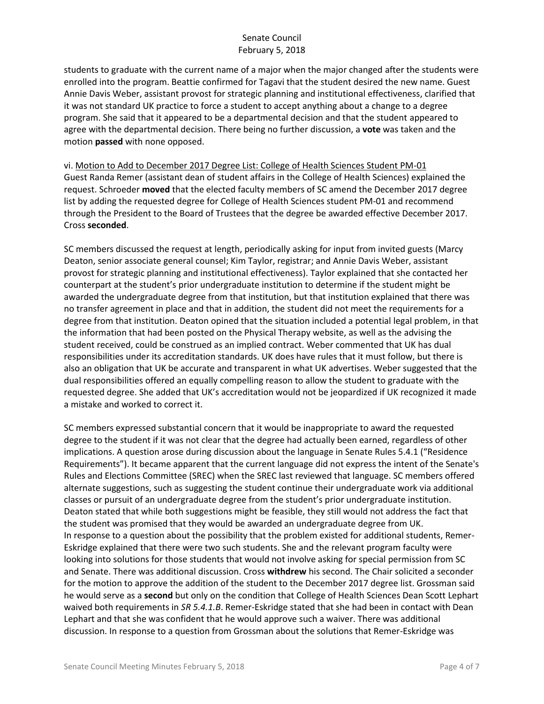students to graduate with the current name of a major when the major changed after the students were enrolled into the program. Beattie confirmed for Tagavi that the student desired the new name. Guest Annie Davis Weber, assistant provost for strategic planning and institutional effectiveness, clarified that it was not standard UK practice to force a student to accept anything about a change to a degree program. She said that it appeared to be a departmental decision and that the student appeared to agree with the departmental decision. There being no further discussion, a **vote** was taken and the motion **passed** with none opposed.

vi. Motion to Add to December 2017 Degree List: College of Health Sciences Student PM-01 Guest Randa Remer (assistant dean of student affairs in the College of Health Sciences) explained the request. Schroeder **moved** that the elected faculty members of SC amend the December 2017 degree list by adding the requested degree for College of Health Sciences student PM-01 and recommend through the President to the Board of Trustees that the degree be awarded effective December 2017. Cross **seconded**.

SC members discussed the request at length, periodically asking for input from invited guests (Marcy Deaton, senior associate general counsel; Kim Taylor, registrar; and Annie Davis Weber, assistant provost for strategic planning and institutional effectiveness). Taylor explained that she contacted her counterpart at the student's prior undergraduate institution to determine if the student might be awarded the undergraduate degree from that institution, but that institution explained that there was no transfer agreement in place and that in addition, the student did not meet the requirements for a degree from that institution. Deaton opined that the situation included a potential legal problem, in that the information that had been posted on the Physical Therapy website, as well as the advising the student received, could be construed as an implied contract. Weber commented that UK has dual responsibilities under its accreditation standards. UK does have rules that it must follow, but there is also an obligation that UK be accurate and transparent in what UK advertises. Weber suggested that the dual responsibilities offered an equally compelling reason to allow the student to graduate with the requested degree. She added that UK's accreditation would not be jeopardized if UK recognized it made a mistake and worked to correct it.

SC members expressed substantial concern that it would be inappropriate to award the requested degree to the student if it was not clear that the degree had actually been earned, regardless of other implications. A question arose during discussion about the language in Senate Rules 5.4.1 ("Residence Requirements"). It became apparent that the current language did not express the intent of the Senate's Rules and Elections Committee (SREC) when the SREC last reviewed that language. SC members offered alternate suggestions, such as suggesting the student continue their undergraduate work via additional classes or pursuit of an undergraduate degree from the student's prior undergraduate institution. Deaton stated that while both suggestions might be feasible, they still would not address the fact that the student was promised that they would be awarded an undergraduate degree from UK. In response to a question about the possibility that the problem existed for additional students, Remer-Eskridge explained that there were two such students. She and the relevant program faculty were looking into solutions for those students that would not involve asking for special permission from SC and Senate. There was additional discussion. Cross **withdrew** his second. The Chair solicited a seconder for the motion to approve the addition of the student to the December 2017 degree list. Grossman said he would serve as a **second** but only on the condition that College of Health Sciences Dean Scott Lephart waived both requirements in *SR 5.4.1.B*. Remer-Eskridge stated that she had been in contact with Dean Lephart and that she was confident that he would approve such a waiver. There was additional discussion. In response to a question from Grossman about the solutions that Remer-Eskridge was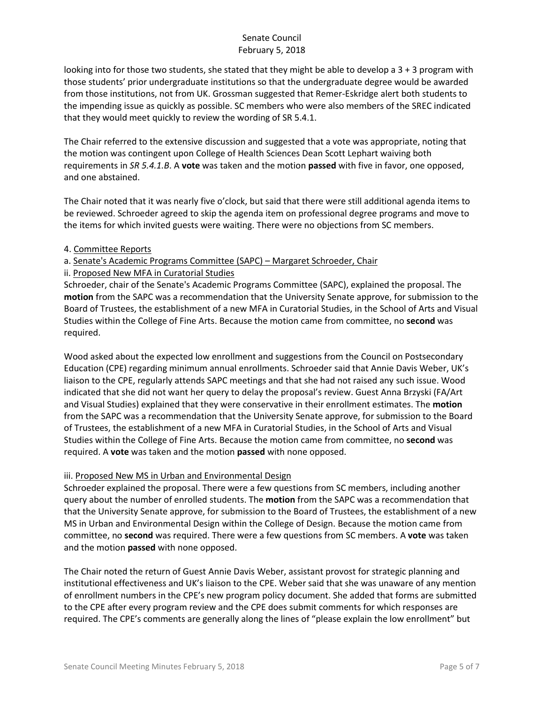looking into for those two students, she stated that they might be able to develop a  $3 + 3$  program with those students' prior undergraduate institutions so that the undergraduate degree would be awarded from those institutions, not from UK. Grossman suggested that Remer-Eskridge alert both students to the impending issue as quickly as possible. SC members who were also members of the SREC indicated that they would meet quickly to review the wording of SR 5.4.1.

The Chair referred to the extensive discussion and suggested that a vote was appropriate, noting that the motion was contingent upon College of Health Sciences Dean Scott Lephart waiving both requirements in *SR 5.4.1.B*. A **vote** was taken and the motion **passed** with five in favor, one opposed, and one abstained.

The Chair noted that it was nearly five o'clock, but said that there were still additional agenda items to be reviewed. Schroeder agreed to skip the agenda item on professional degree programs and move to the items for which invited guests were waiting. There were no objections from SC members.

- 4. Committee Reports
- a. Senate's Academic Programs Committee (SAPC) Margaret Schroeder, Chair
- ii. Proposed New MFA in Curatorial Studies

Schroeder, chair of the Senate's Academic Programs Committee (SAPC), explained the proposal. The **motion** from the SAPC was a recommendation that the University Senate approve, for submission to the Board of Trustees, the establishment of a new MFA in Curatorial Studies, in the School of Arts and Visual Studies within the College of Fine Arts. Because the motion came from committee, no **second** was required.

Wood asked about the expected low enrollment and suggestions from the Council on Postsecondary Education (CPE) regarding minimum annual enrollments. Schroeder said that Annie Davis Weber, UK's liaison to the CPE, regularly attends SAPC meetings and that she had not raised any such issue. Wood indicated that she did not want her query to delay the proposal's review. Guest Anna Brzyski (FA/Art and Visual Studies) explained that they were conservative in their enrollment estimates. The **motion**  from the SAPC was a recommendation that the University Senate approve, for submission to the Board of Trustees, the establishment of a new MFA in Curatorial Studies, in the School of Arts and Visual Studies within the College of Fine Arts. Because the motion came from committee, no **second** was required. A **vote** was taken and the motion **passed** with none opposed.

### iii. Proposed New MS in Urban and Environmental Design

Schroeder explained the proposal. There were a few questions from SC members, including another query about the number of enrolled students. The **motion** from the SAPC was a recommendation that that the University Senate approve, for submission to the Board of Trustees, the establishment of a new MS in Urban and Environmental Design within the College of Design. Because the motion came from committee, no **second** was required. There were a few questions from SC members. A **vote** was taken and the motion **passed** with none opposed.

The Chair noted the return of Guest Annie Davis Weber, assistant provost for strategic planning and institutional effectiveness and UK's liaison to the CPE. Weber said that she was unaware of any mention of enrollment numbers in the CPE's new program policy document. She added that forms are submitted to the CPE after every program review and the CPE does submit comments for which responses are required. The CPE's comments are generally along the lines of "please explain the low enrollment" but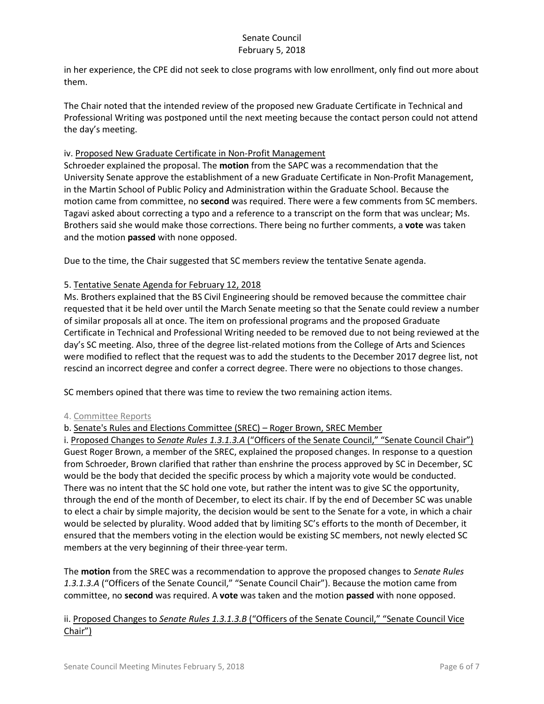in her experience, the CPE did not seek to close programs with low enrollment, only find out more about them.

The Chair noted that the intended review of the proposed new Graduate Certificate in Technical and Professional Writing was postponed until the next meeting because the contact person could not attend the day's meeting.

## iv. Proposed New Graduate Certificate in Non-Profit Management

Schroeder explained the proposal. The **motion** from the SAPC was a recommendation that the University Senate approve the establishment of a new Graduate Certificate in Non-Profit Management, in the Martin School of Public Policy and Administration within the Graduate School. Because the motion came from committee, no **second** was required. There were a few comments from SC members. Tagavi asked about correcting a typo and a reference to a transcript on the form that was unclear; Ms. Brothers said she would make those corrections. There being no further comments, a **vote** was taken and the motion **passed** with none opposed.

Due to the time, the Chair suggested that SC members review the tentative Senate agenda.

## 5. Tentative Senate Agenda for February 12, 2018

Ms. Brothers explained that the BS Civil Engineering should be removed because the committee chair requested that it be held over until the March Senate meeting so that the Senate could review a number of similar proposals all at once. The item on professional programs and the proposed Graduate Certificate in Technical and Professional Writing needed to be removed due to not being reviewed at the day's SC meeting. Also, three of the degree list-related motions from the College of Arts and Sciences were modified to reflect that the request was to add the students to the December 2017 degree list, not rescind an incorrect degree and confer a correct degree. There were no objections to those changes.

SC members opined that there was time to review the two remaining action items.

### 4. Committee Reports

# b. Senate's Rules and Elections Committee (SREC) – Roger Brown, SREC Member

i. Proposed Changes to *Senate Rules 1.3.1.3.A* ("Officers of the Senate Council," "Senate Council Chair") Guest Roger Brown, a member of the SREC, explained the proposed changes. In response to a question from Schroeder, Brown clarified that rather than enshrine the process approved by SC in December, SC would be the body that decided the specific process by which a majority vote would be conducted. There was no intent that the SC hold one vote, but rather the intent was to give SC the opportunity, through the end of the month of December, to elect its chair. If by the end of December SC was unable to elect a chair by simple majority, the decision would be sent to the Senate for a vote, in which a chair would be selected by plurality. Wood added that by limiting SC's efforts to the month of December, it ensured that the members voting in the election would be existing SC members, not newly elected SC members at the very beginning of their three-year term.

The **motion** from the SREC was a recommendation to approve the proposed changes to *Senate Rules 1.3.1.3.A* ("Officers of the Senate Council," "Senate Council Chair"). Because the motion came from committee, no **second** was required. A **vote** was taken and the motion **passed** with none opposed.

# ii. Proposed Changes to *Senate Rules 1.3.1.3.B* ("Officers of the Senate Council," "Senate Council Vice Chair")